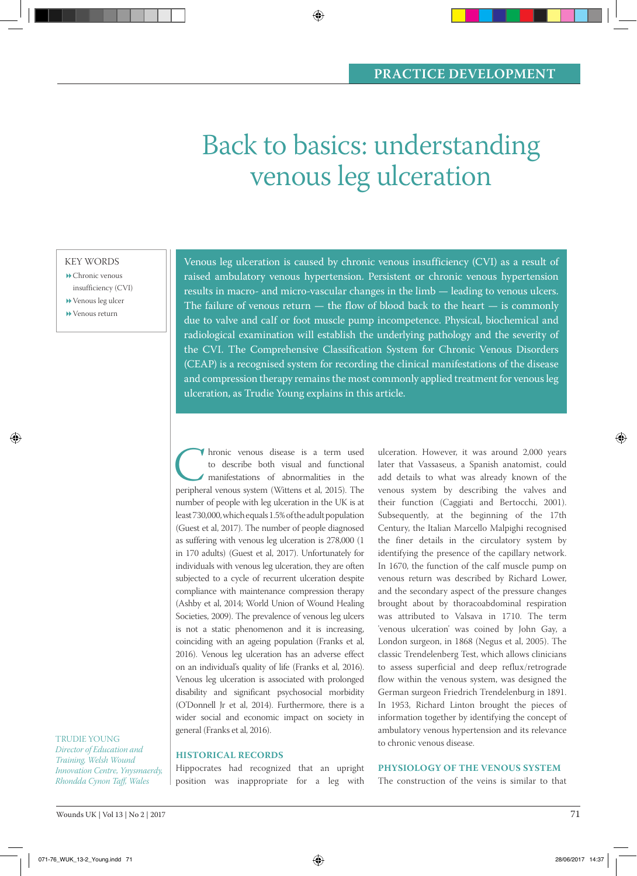# Back to basics: understanding venous leg ulceration

◈

KEY WORDS

Chronic venous insufficiency (CVI)

Venous leg ulcer

Venous return

◈

Venous leg ulceration is caused by chronic venous insufficiency (CVI) as a result of raised ambulatory venous hypertension. Persistent or chronic venous hypertension results in macro- and micro-vascular changes in the limb — leading to venous ulcers. The failure of venous return  $-$  the flow of blood back to the heart  $-$  is commonly due to valve and calf or foot muscle pump incompetence. Physical, biochemical and radiological examination will establish the underlying pathology and the severity of the CVI. The Comprehensive Classification System for Chronic Venous Disorders (CEAP) is a recognised system for recording the clinical manifestations of the disease and compression therapy remains the most commonly applied treatment for venous leg ulceration, as Trudie Young explains in this article.

Interior venous disease is a term used<br>to describe both visual and functional<br>manifestations of abnormalities in the<br>peripheral venous system (Wittens et al, 2015). The to describe both visual and functional manifestations of abnormalities in the peripheral venous system (Wittens et al, 2015). The number of people with leg ulceration in the UK is at least 730,000, which equals 1.5% of the adult population (Guest et al, 2017). The number of people diagnosed as suffering with venous leg ulceration is 278,000 (1 in 170 adults) (Guest et al, 2017). Unfortunately for individuals with venous leg ulceration, they are often subjected to a cycle of recurrent ulceration despite compliance with maintenance compression therapy (Ashby et al, 2014; World Union of Wound Healing Societies, 2009). The prevalence of venous leg ulcers is not a static phenomenon and it is increasing, coinciding with an ageing population (Franks et al, 2016). Venous leg ulceration has an adverse effect on an individual's quality of life (Franks et al, 2016). Venous leg ulceration is associated with prolonged disability and significant psychosocial morbidity (O'Donnell Jr et al, 2014). Furthermore, there is a wider social and economic impact on society in general (Franks et al, 2016).

### **HISTORICAL RECORDS**

Hippocrates had recognized that an upright position was inappropriate for a leg with ulceration. However, it was around 2,000 years later that Vassaseus, a Spanish anatomist, could add details to what was already known of the venous system by describing the valves and their function (Caggiati and Bertocchi, 2001). Subsequently, at the beginning of the 17th Century, the Italian Marcello Malpighi recognised the finer details in the circulatory system by identifying the presence of the capillary network. In 1670, the function of the calf muscle pump on venous return was described by Richard Lower, and the secondary aspect of the pressure changes brought about by thoracoabdominal respiration was attributed to Valsava in 1710. The term 'venous ulceration' was coined by John Gay, a London surgeon, in 1868 (Negus et al, 2005). The classic Trendelenberg Test, which allows clinicians to assess superficial and deep reflux/retrograde flow within the venous system, was designed the German surgeon Friedrich Trendelenburg in 1891. In 1953, Richard Linton brought the pieces of information together by identifying the concept of ambulatory venous hypertension and its relevance to chronic venous disease.

## **PHYSIOLOGY OF THE VENOUS SYSTEM**

The construction of the veins is similar to that

◈

TRUDIE YOUNG *Director of Education and Training, Welsh Wound Innovation Centre, Ynysmaerdy, Rhondda Cynon Taff, Wales*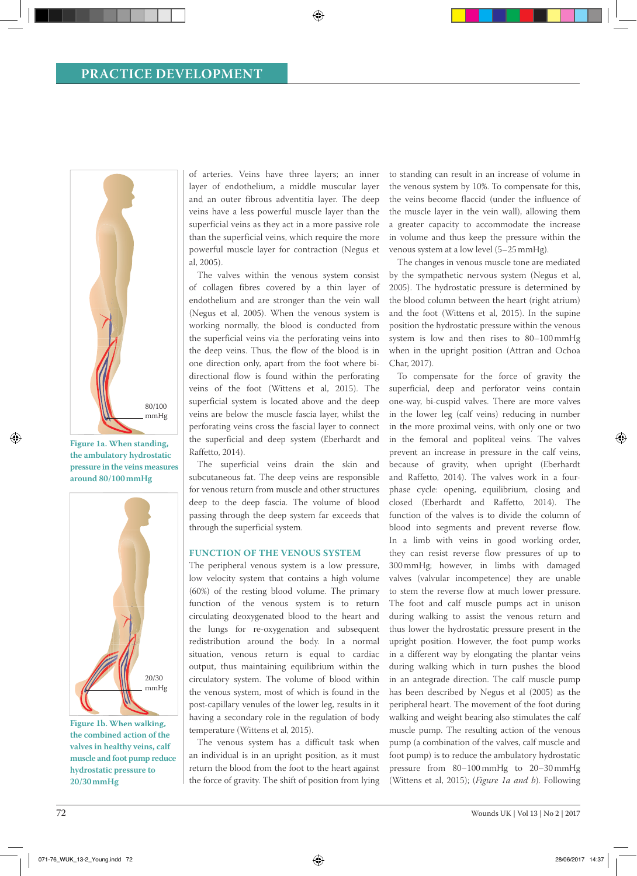## **PRACTICE DEVELOPMENT**



**Figure 1a. When standing, the ambulatory hydrostatic pressure in the veins measures around 80/100 mmHg** 

◈



**the combined action of the valves in healthy veins, calf muscle and foot pump reduce hydrostatic pressure to 20/30 mmHg** 

of arteries. Veins have three layers; an inner layer of endothelium, a middle muscular layer and an outer fibrous adventitia layer. The deep veins have a less powerful muscle layer than the superficial veins as they act in a more passive role than the superficial veins, which require the more powerful muscle layer for contraction (Negus et al, 2005).

⊕

The valves within the venous system consist of collagen fibres covered by a thin layer of endothelium and are stronger than the vein wall (Negus et al, 2005). When the venous system is working normally, the blood is conducted from the superficial veins via the perforating veins into the deep veins. Thus, the flow of the blood is in one direction only, apart from the foot where bidirectional flow is found within the perforating veins of the foot (Wittens et al, 2015). The superficial system is located above and the deep veins are below the muscle fascia layer, whilst the perforating veins cross the fascial layer to connect the superficial and deep system (Eberhardt and Raffetto, 2014).

The superficial veins drain the skin and subcutaneous fat. The deep veins are responsible for venous return from muscle and other structures deep to the deep fascia. The volume of blood passing through the deep system far exceeds that through the superficial system.

## **FUNCTION OF THE VENOUS SYSTEM**

The peripheral venous system is a low pressure, low velocity system that contains a high volume (60%) of the resting blood volume. The primary function of the venous system is to return circulating deoxygenated blood to the heart and the lungs for re-oxygenation and subsequent redistribution around the body. In a normal situation, venous return is equal to cardiac output, thus maintaining equilibrium within the circulatory system. The volume of blood within the venous system, most of which is found in the post-capillary venules of the lower leg, results in it having a secondary role in the regulation of body temperature (Wittens et al, 2015).

The venous system has a difficult task when an individual is in an upright position, as it must return the blood from the foot to the heart against the force of gravity. The shift of position from lying

to standing can result in an increase of volume in the venous system by 10%. To compensate for this, the veins become flaccid (under the influence of the muscle layer in the vein wall), allowing them a greater capacity to accommodate the increase in volume and thus keep the pressure within the venous system at a low level (5–25 mmHg).

The changes in venous muscle tone are mediated by the sympathetic nervous system (Negus et al, 2005). The hydrostatic pressure is determined by the blood column between the heart (right atrium) and the foot (Wittens et al, 2015). In the supine position the hydrostatic pressure within the venous system is low and then rises to 80–100 mmHg when in the upright position (Attran and Ochoa Char, 2017).

To compensate for the force of gravity the superficial, deep and perforator veins contain one-way, bi-cuspid valves. There are more valves in the lower leg (calf veins) reducing in number in the more proximal veins, with only one or two in the femoral and popliteal veins. The valves prevent an increase in pressure in the calf veins, because of gravity, when upright (Eberhardt and Raffetto, 2014). The valves work in a fourphase cycle: opening, equilibrium, closing and closed (Eberhardt and Raffetto, 2014). The function of the valves is to divide the column of blood into segments and prevent reverse flow. In a limb with veins in good working order, they can resist reverse flow pressures of up to 300 mmHg; however, in limbs with damaged valves (valvular incompetence) they are unable to stem the reverse flow at much lower pressure. The foot and calf muscle pumps act in unison during walking to assist the venous return and thus lower the hydrostatic pressure present in the upright position. However, the foot pump works in a different way by elongating the plantar veins during walking which in turn pushes the blood in an antegrade direction. The calf muscle pump has been described by Negus et al (2005) as the peripheral heart. The movement of the foot during walking and weight bearing also stimulates the calf muscle pump. The resulting action of the venous pump (a combination of the valves, calf muscle and foot pump) is to reduce the ambulatory hydrostatic pressure from 80–100 mmHg to 20–30 mmHg (Wittens et al, 2015); (*Figure 1a and b*). Following

⊕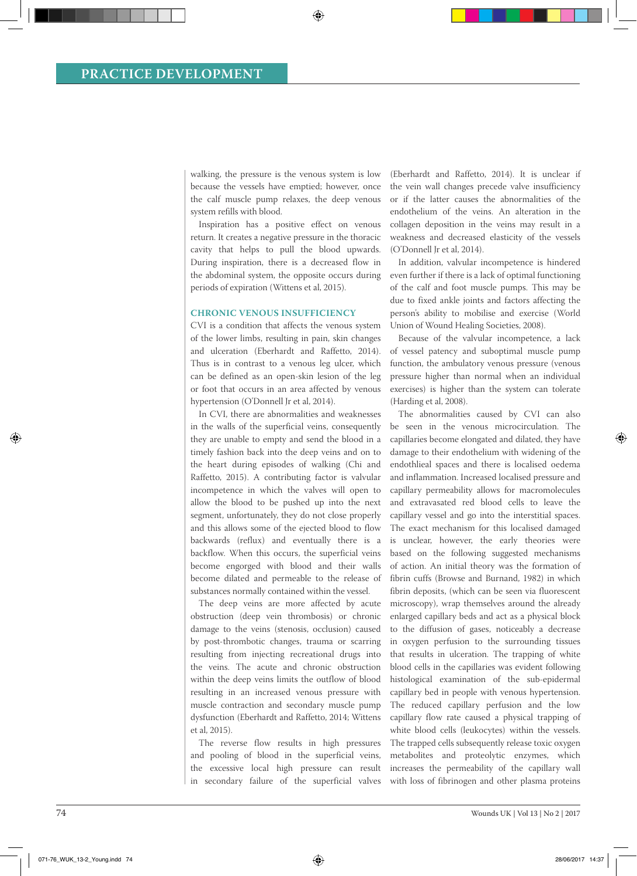walking, the pressure is the venous system is low because the vessels have emptied; however, once the calf muscle pump relaxes, the deep venous system refills with blood.

◈

Inspiration has a positive effect on venous return. It creates a negative pressure in the thoracic cavity that helps to pull the blood upwards. During inspiration, there is a decreased flow in the abdominal system, the opposite occurs during periods of expiration (Wittens et al, 2015).

## **CHRONIC VENOUS INSUFFICIENCY**

CVI is a condition that affects the venous system of the lower limbs, resulting in pain, skin changes and ulceration (Eberhardt and Raffetto, 2014). Thus is in contrast to a venous leg ulcer, which can be defined as an open-skin lesion of the leg or foot that occurs in an area affected by venous hypertension (O'Donnell Jr et al, 2014).

In CVI, there are abnormalities and weaknesses in the walls of the superficial veins, consequently they are unable to empty and send the blood in a timely fashion back into the deep veins and on to the heart during episodes of walking (Chi and Raffetto, 2015). A contributing factor is valvular incompetence in which the valves will open to allow the blood to be pushed up into the next segment, unfortunately, they do not close properly and this allows some of the ejected blood to flow backwards (reflux) and eventually there is a backflow. When this occurs, the superficial veins become engorged with blood and their walls become dilated and permeable to the release of substances normally contained within the vessel.

The deep veins are more affected by acute obstruction (deep vein thrombosis) or chronic damage to the veins (stenosis, occlusion) caused by post-thrombotic changes, trauma or scarring resulting from injecting recreational drugs into the veins. The acute and chronic obstruction within the deep veins limits the outflow of blood resulting in an increased venous pressure with muscle contraction and secondary muscle pump dysfunction (Eberhardt and Raffetto, 2014; Wittens et al, 2015).

The reverse flow results in high pressures and pooling of blood in the superficial veins, the excessive local high pressure can result in secondary failure of the superficial valves (Eberhardt and Raffetto, 2014). It is unclear if the vein wall changes precede valve insufficiency or if the latter causes the abnormalities of the endothelium of the veins. An alteration in the collagen deposition in the veins may result in a weakness and decreased elasticity of the vessels (O'Donnell Jr et al, 2014).

In addition, valvular incompetence is hindered even further if there is a lack of optimal functioning of the calf and foot muscle pumps. This may be due to fixed ankle joints and factors affecting the person's ability to mobilise and exercise (World Union of Wound Healing Societies, 2008).

Because of the valvular incompetence, a lack of vessel patency and suboptimal muscle pump function, the ambulatory venous pressure (venous pressure higher than normal when an individual exercises) is higher than the system can tolerate (Harding et al, 2008).

The abnormalities caused by CVI can also be seen in the venous microcirculation. The capillaries become elongated and dilated, they have damage to their endothelium with widening of the endothlieal spaces and there is localised oedema and inflammation. Increased localised pressure and capillary permeability allows for macromolecules and extravasated red blood cells to leave the capillary vessel and go into the interstitial spaces. The exact mechanism for this localised damaged is unclear, however, the early theories were based on the following suggested mechanisms of action. An initial theory was the formation of fibrin cuffs (Browse and Burnand, 1982) in which fibrin deposits, (which can be seen via fluorescent microscopy), wrap themselves around the already enlarged capillary beds and act as a physical block to the diffusion of gases, noticeably a decrease in oxygen perfusion to the surrounding tissues that results in ulceration. The trapping of white blood cells in the capillaries was evident following histological examination of the sub-epidermal capillary bed in people with venous hypertension. The reduced capillary perfusion and the low capillary flow rate caused a physical trapping of white blood cells (leukocytes) within the vessels. The trapped cells subsequently release toxic oxygen metabolites and proteolytic enzymes, which increases the permeability of the capillary wall with loss of fibrinogen and other plasma proteins

◈

◈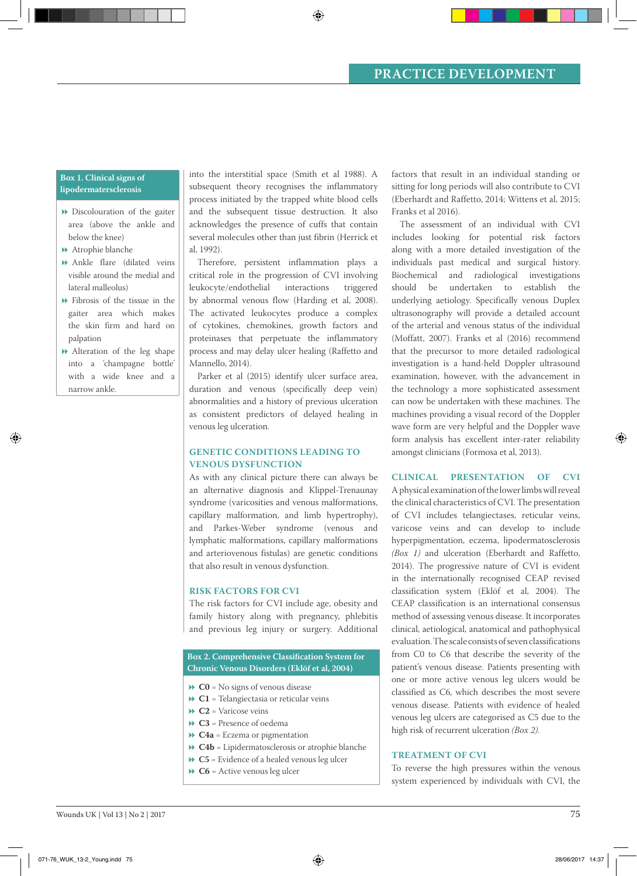# **PRACTICE DEVELOPMENT**

## **Box 1. Clinical signs of lipodermatersclerosis**

- Discolouration of the gaiter area (above the ankle and below the knee)
- Atrophie blanche
- Ankle flare (dilated veins visible around the medial and lateral malleolus)
- Fibrosis of the tissue in the gaiter area which makes the skin firm and hard on palpation
- Alteration of the leg shape into a 'champagne bottle' with a wide knee and a narrow ankle.

◈

into the interstitial space (Smith et al 1988). A subsequent theory recognises the inflammatory process initiated by the trapped white blood cells and the subsequent tissue destruction. It also acknowledges the presence of cuffs that contain several molecules other than just fibrin (Herrick et al, 1992).

◈

Therefore, persistent inflammation plays a critical role in the progression of CVI involving leukocyte/endothelial interactions triggered by abnormal venous flow (Harding et al, 2008). The activated leukocytes produce a complex of cytokines, chemokines, growth factors and proteinases that perpetuate the inflammatory process and may delay ulcer healing (Raffetto and Mannello, 2014).

Parker et al (2015) identify ulcer surface area, duration and venous (specifically deep vein) abnormalities and a history of previous ulceration as consistent predictors of delayed healing in venous leg ulceration.

## **GENETIC CONDITIONS LEADING TO VENOUS DYSFUNCTION**

As with any clinical picture there can always be an alternative diagnosis and Klippel-Trenaunay syndrome (varicosities and venous malformations, capillary malformation, and limb hypertrophy), and Parkes-Weber syndrome (venous and lymphatic malformations, capillary malformations and arteriovenous fistulas) are genetic conditions that also result in venous dysfunction.

## **RISK FACTORS FOR CVI**

The risk factors for CVI include age, obesity and family history along with pregnancy, phlebitis and previous leg injury or surgery. Additional

## **Box 2. Comprehensive Classification System for Chronic Venous Disorders (Eklöf et al, 2004)**

- **► C0** = No signs of venous disease
- **C1** = Telangiectasia or reticular veins
- **C2** = Varicose veins
- **C3** = Presence of oedema
- **C4a** = Eczema or pigmentation
- **C4b** = Lipidermatosclerosis or atrophie blanche
- **► C5** = Evidence of a healed venous leg ulcer
- **C6** = Active venous leg ulcer

factors that result in an individual standing or sitting for long periods will also contribute to CVI (Eberhardt and Raffetto, 2014; Wittens et al, 2015; Franks et al 2016).

The assessment of an individual with CVI includes looking for potential risk factors along with a more detailed investigation of the individuals past medical and surgical history. Biochemical and radiological investigations should be undertaken to establish the underlying aetiology. Specifically venous Duplex ultrasonography will provide a detailed account of the arterial and venous status of the individual (Moffatt, 2007). Franks et al (2016) recommend that the precursor to more detailed radiological investigation is a hand-held Doppler ultrasound examination, however, with the advancement in the technology a more sophisticated assessment can now be undertaken with these machines. The machines providing a visual record of the Doppler wave form are very helpful and the Doppler wave form analysis has excellent inter-rater reliability amongst clinicians (Formosa et al, 2013).

## **CLINICAL PRESENTATION OF CVI**

A physical examination of the lower limbs will reveal the clinical characteristics of CVI. The presentation of CVI includes telangiectases, reticular veins, varicose veins and can develop to include hyperpigmentation, eczema, lipodermatosclerosis *(Box 1)* and ulceration (Eberhardt and Raffetto, 2014). The progressive nature of CVI is evident in the internationally recognised CEAP revised classification system (Eklöf et al, 2004). The CEAP classification is an international consensus method of assessing venous disease. It incorporates clinical, aetiological, anatomical and pathophysical evaluation. The scale consists of seven classifications from C0 to C6 that describe the severity of the patient's venous disease. Patients presenting with one or more active venous leg ulcers would be classified as C6, which describes the most severe venous disease. Patients with evidence of healed venous leg ulcers are categorised as C5 due to the high risk of recurrent ulceration *(Box 2)*.

### **TREATMENT OF CVI**

To reverse the high pressures within the venous system experienced by individuals with CVI, the ◈